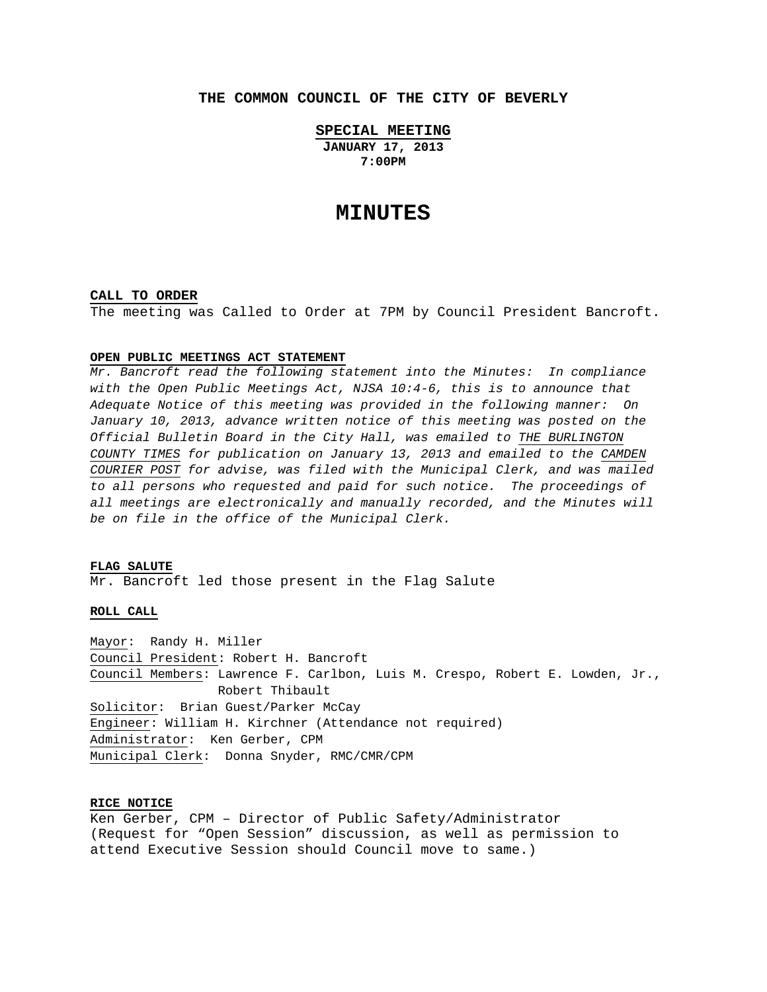# **THE COMMON COUNCIL OF THE CITY OF BEVERLY**

**SPECIAL MEETING**

**JANUARY 17, 2013 7:00PM** 

# **MINUTES**

#### **CALL TO ORDER**

The meeting was Called to Order at 7PM by Council President Bancroft.

### **OPEN PUBLIC MEETINGS ACT STATEMENT**

*Mr. Bancroft read the following statement into the Minutes: In compliance with the Open Public Meetings Act, NJSA 10:4-6, this is to announce that Adequate Notice of this meeting was provided in the following manner: On January 10, 2013, advance written notice of this meeting was posted on the Official Bulletin Board in the City Hall, was emailed to THE BURLINGTON COUNTY TIMES for publication on January 13, 2013 and emailed to the CAMDEN COURIER POST for advise, was filed with the Municipal Clerk, and was mailed to all persons who requested and paid for such notice. The proceedings of all meetings are electronically and manually recorded, and the Minutes will be on file in the office of the Municipal Clerk.* 

## **FLAG SALUTE**

Mr. Bancroft led those present in the Flag Salute

### **ROLL CALL**

Mayor: Randy H. Miller Council President: Robert H. Bancroft Council Members: Lawrence F. Carlbon, Luis M. Crespo, Robert E. Lowden, Jr., Robert Thibault Solicitor: Brian Guest/Parker McCay Engineer: William H. Kirchner (Attendance not required) Administrator: Ken Gerber, CPM Municipal Clerk: Donna Snyder, RMC/CMR/CPM

# **RICE NOTICE**

Ken Gerber, CPM – Director of Public Safety/Administrator (Request for "Open Session" discussion, as well as permission to attend Executive Session should Council move to same.)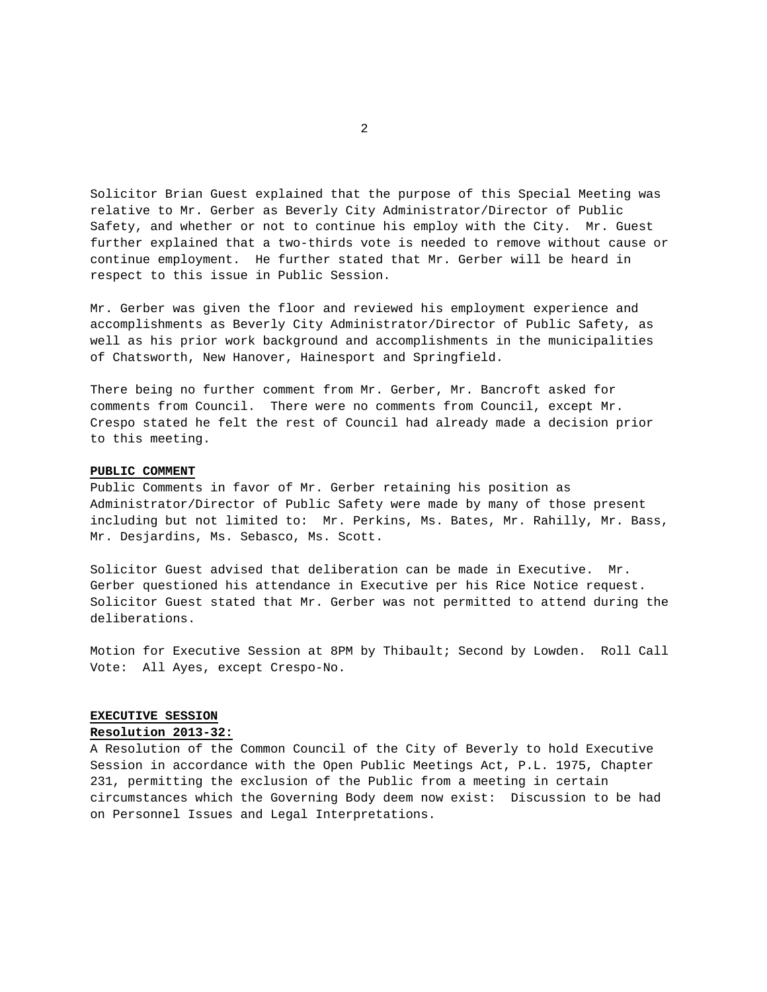Solicitor Brian Guest explained that the purpose of this Special Meeting was relative to Mr. Gerber as Beverly City Administrator/Director of Public Safety, and whether or not to continue his employ with the City. Mr. Guest further explained that a two-thirds vote is needed to remove without cause or continue employment. He further stated that Mr. Gerber will be heard in respect to this issue in Public Session.

Mr. Gerber was given the floor and reviewed his employment experience and accomplishments as Beverly City Administrator/Director of Public Safety, as well as his prior work background and accomplishments in the municipalities of Chatsworth, New Hanover, Hainesport and Springfield.

There being no further comment from Mr. Gerber, Mr. Bancroft asked for comments from Council. There were no comments from Council, except Mr. Crespo stated he felt the rest of Council had already made a decision prior to this meeting.

#### **PUBLIC COMMENT**

Public Comments in favor of Mr. Gerber retaining his position as Administrator/Director of Public Safety were made by many of those present including but not limited to: Mr. Perkins, Ms. Bates, Mr. Rahilly, Mr. Bass, Mr. Desjardins, Ms. Sebasco, Ms. Scott.

Solicitor Guest advised that deliberation can be made in Executive. Mr. Gerber questioned his attendance in Executive per his Rice Notice request. Solicitor Guest stated that Mr. Gerber was not permitted to attend during the deliberations.

Motion for Executive Session at 8PM by Thibault; Second by Lowden. Roll Call Vote: All Ayes, except Crespo-No.

### **EXECUTIVE SESSION**

#### **Resolution 2013-32:**

A Resolution of the Common Council of the City of Beverly to hold Executive Session in accordance with the Open Public Meetings Act, P.L. 1975, Chapter 231, permitting the exclusion of the Public from a meeting in certain circumstances which the Governing Body deem now exist: Discussion to be had on Personnel Issues and Legal Interpretations.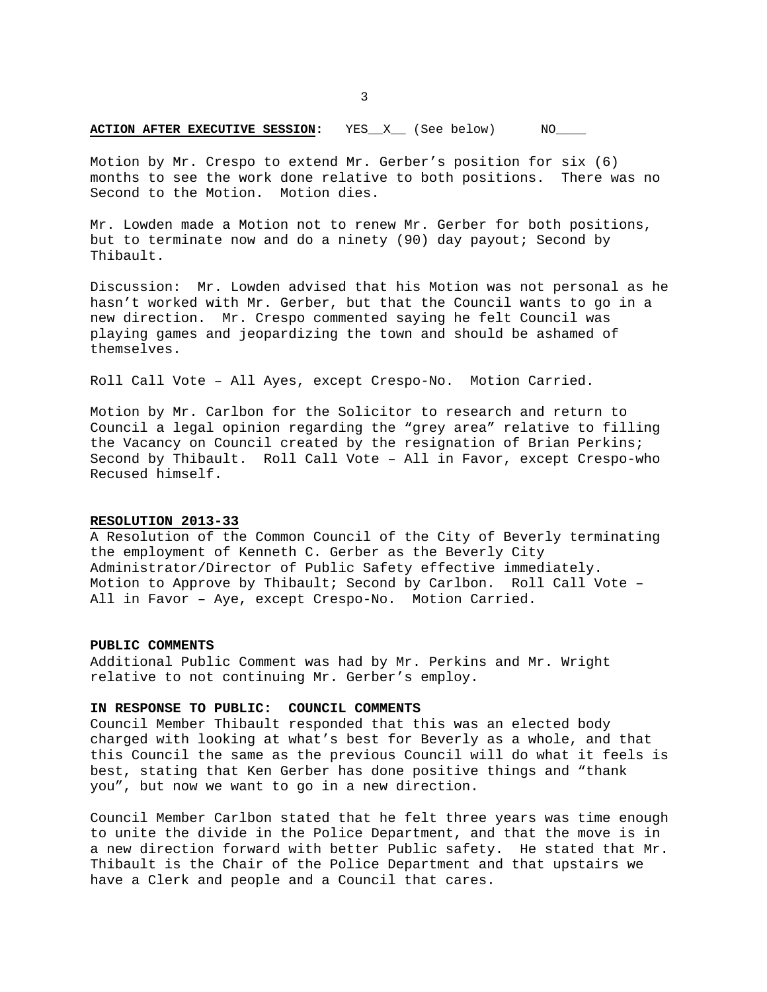# **ACTION AFTER EXECUTIVE SESSION:** YES\_X\_ (See below) NO\_\_\_

Motion by Mr. Crespo to extend Mr. Gerber's position for six (6) months to see the work done relative to both positions. There was no Second to the Motion. Motion dies.

Mr. Lowden made a Motion not to renew Mr. Gerber for both positions, but to terminate now and do a ninety (90) day payout; Second by Thibault.

Discussion: Mr. Lowden advised that his Motion was not personal as he hasn't worked with Mr. Gerber, but that the Council wants to go in a new direction. Mr. Crespo commented saying he felt Council was playing games and jeopardizing the town and should be ashamed of themselves.

Roll Call Vote – All Ayes, except Crespo-No. Motion Carried.

Motion by Mr. Carlbon for the Solicitor to research and return to Council a legal opinion regarding the "grey area" relative to filling the Vacancy on Council created by the resignation of Brian Perkins; Second by Thibault. Roll Call Vote – All in Favor, except Crespo-who Recused himself.

# **RESOLUTION 2013-33**

A Resolution of the Common Council of the City of Beverly terminating the employment of Kenneth C. Gerber as the Beverly City Administrator/Director of Public Safety effective immediately. Motion to Approve by Thibault; Second by Carlbon. Roll Call Vote – All in Favor – Aye, except Crespo-No. Motion Carried.

#### **PUBLIC COMMENTS**

Additional Public Comment was had by Mr. Perkins and Mr. Wright relative to not continuing Mr. Gerber's employ.

#### **IN RESPONSE TO PUBLIC: COUNCIL COMMENTS**

Council Member Thibault responded that this was an elected body charged with looking at what's best for Beverly as a whole, and that this Council the same as the previous Council will do what it feels is best, stating that Ken Gerber has done positive things and "thank you", but now we want to go in a new direction.

Council Member Carlbon stated that he felt three years was time enough to unite the divide in the Police Department, and that the move is in a new direction forward with better Public safety. He stated that Mr. Thibault is the Chair of the Police Department and that upstairs we have a Clerk and people and a Council that cares.